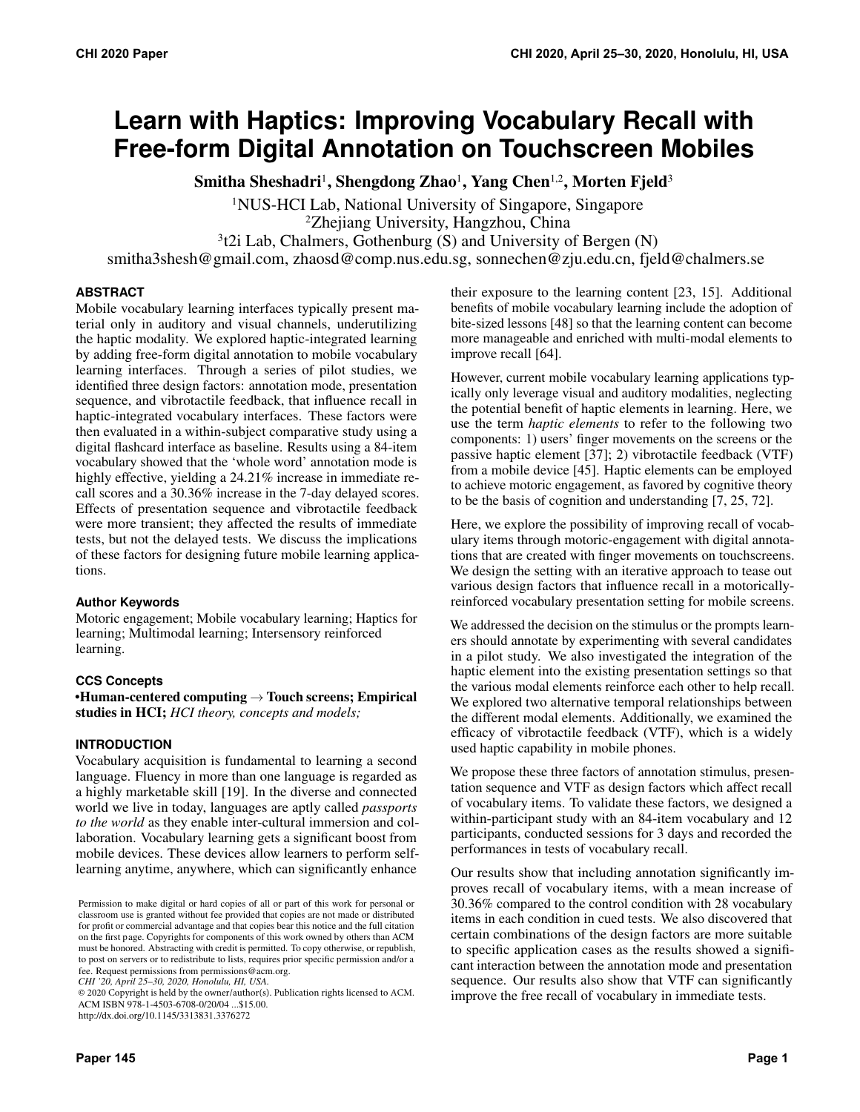# **Learn with Haptics: Improving Vocabulary Recall with Free-form Digital Annotation on Touchscreen Mobiles**

Smitha Sheshadri<sup>1</sup>, Shengdong Zhao<sup>1</sup>, Yang Chen<sup>1,2</sup>, Morten Fjeld<sup>3</sup>

1NUS-HCI Lab, National University of Singapore, Singapore

2Zhejiang University, Hangzhou, China

 $3t2i$  Lab, Chalmers, Gothenburg (S) and University of Bergen (N)

[smitha3shesh@gmail.com,](mailto:smitha3shesh@gmail.com) zhaosd@comp.nus.edu.sg, sonnechen@zju.edu.cn, [fjeld@chalmers.se](mailto:fjeld@chalmers.se)

# **ABSTRACT**

Mobile vocabulary learning interfaces typically present material only in auditory and visual channels, underutilizing the haptic modality. We explored haptic-integrated learning by adding free-form digital annotation to mobile vocabulary learning interfaces. Through a series of pilot studies, we identified three design factors: annotation mode, presentation sequence, and vibrotactile feedback, that influence recall in haptic-integrated vocabulary interfaces. These factors were then evaluated in a within-subject comparative study using a digital flashcard interface as baseline. Results using a 84-item vocabulary showed that the 'whole word' annotation mode is highly effective, yielding a 24.21% increase in immediate recall scores and a 30.36% increase in the 7-day delayed scores. Effects of presentation sequence and vibrotactile feedback were more transient; they affected the results of immediate tests, but not the delayed tests. We discuss the implications of these factors for designing future mobile learning applications.

## **Author Keywords**

Motoric engagement; Mobile vocabulary learning; Haptics for learning; Multimodal learning; Intersensory reinforced learning.

# **CCS Concepts**

•Human-centered computing  $\rightarrow$  Touch screens; Empirical studies in HCI; *HCI theory, concepts and models;* 

# **INTRODUCTION**

 Vocabulary acquisition is fundamental to learning a second language. Fluency in more than one language is regarded as a highly marketable skill [\[19\].](#page-10-0) In the diverse and connected world we live in today, languages are aptly called *passports to the world* as they enable inter-cultural immersion and col- laboration. Vocabulary learning gets a significant boost from mobile devices. These devices allow learners to perform self-learning anytime, anywhere, which can significantly enhance

*CHI '20, April 25–30, 2020, Honolulu, HI, USA.* 

their exposure to the learning content [\[23,](#page-10-1) [15\]](#page-10-2). Additional benefits of mobile vocabulary learning include the adoption of bite-sized lessons [\[48\]](#page-11-0) so that the learning content can become more manageable and enriched with multi-modal elements to improve recall [\[64\]](#page-12-0).

However, current mobile vocabulary learning applications typically only leverage visual and auditory modalities, neglecting the potential benefit of haptic elements in learning. Here, we use the term *haptic elements* to refer to the following two components: 1) users' finger movements on the screens or the passive haptic element [\[37\]](#page-11-1); 2) vibrotactile feedback (VTF) from a mobile device [\[45\]](#page-11-2). Haptic elements can be employed to achieve motoric engagement, as favored by cognitive theory to be the basis of cognition and understanding [\[7,](#page-10-3) [25,](#page-11-3) [72\]](#page-12-1).

Here, we explore the possibility of improving recall of vocabulary items through motoric-engagement with digital annotations that are created with finger movements on touchscreens. We design the setting with an iterative approach to tease out various design factors that influence recall in a motoricallyreinforced vocabulary presentation setting for mobile screens.

We addressed the decision on the stimulus or the prompts learners should annotate by experimenting with several candidates in a pilot study. We also investigated the integration of the haptic element into the existing presentation settings so that the various modal elements reinforce each other to help recall. We explored two alternative temporal relationships between the different modal elements. Additionally, we examined the efficacy of vibrotactile feedback (VTF), which is a widely used haptic capability in mobile phones.

We propose these three factors of annotation stimulus, presentation sequence and VTF as design factors which affect recall of vocabulary items. To validate these factors, we designed a within-participant study with an 84-item vocabulary and 12 participants, conducted sessions for 3 days and recorded the performances in tests of vocabulary recall.

Our results show that including annotation significantly improves recall of vocabulary items, with a mean increase of 30.36% compared to the control condition with 28 vocabulary items in each condition in cued tests. We also discovered that certain combinations of the design factors are more suitable to specific application cases as the results showed a significant interaction between the annotation mode and presentation sequence. Our results also show that VTF can significantly improve the free recall of vocabulary in immediate tests.

 Permission to make digital or hard copies of all or part of this work for personal or classroom use is granted without fee provided that copies are not made or distributed for profit or commercial advantage and that copies bear this notice and the full citation on the first page. Copyrights for components of this work owned by others than ACM must be honored. Abstracting with credit is permitted. To copy otherwise, or republish, to post on servers or to redistribute to lists, requires prior specific permission and/or a fee. Request permissions from [permissions@acm.org](mailto:permissions@acm.org).

 ACM ISBN 978-1-4503-6708-0/20/04 ...\$15.00. © 2020 Copyright is held by the owner/author(s). Publication rights licensed to ACM. <http://dx.doi.org/10.1145/3313831.3376272>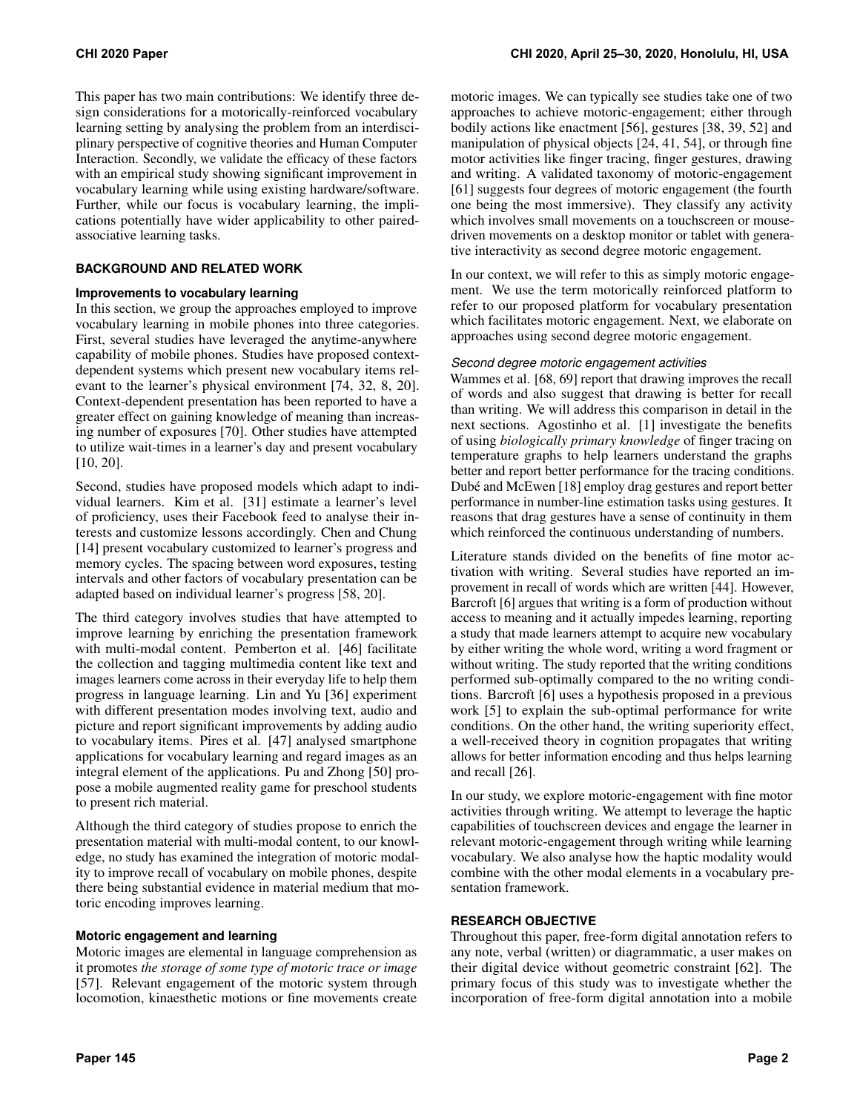This paper has two main contributions: We identify three design considerations for a motorically-reinforced vocabulary learning setting by analysing the problem from an interdisciplinary perspective of cognitive theories and Human Computer Interaction. Secondly, we validate the efficacy of these factors with an empirical study showing significant improvement in vocabulary learning while using existing hardware/software. Further, while our focus is vocabulary learning, the implications potentially have wider applicability to other pairedassociative learning tasks.

# **BACKGROUND AND RELATED WORK**

## **Improvements to vocabulary learning**

In this section, we group the approaches employed to improve vocabulary learning in mobile phones into three categories. First, several studies have leveraged the anytime-anywhere capability of mobile phones. Studies have proposed contextdependent systems which present new vocabulary items relevant to the learner's physical environment [\[74,](#page-12-2) [32,](#page-11-4) [8,](#page-10-4) [20\]](#page-10-5). Context-dependent presentation has been reported to have a greater effect on gaining knowledge of meaning than increasing number of exposures [\[70\]](#page-12-3). Other studies have attempted to utilize wait-times in a learner's day and present vocabulary [\[10,](#page-10-6) [20\]](#page-10-5).

Second, studies have proposed models which adapt to individual learners. Kim et al. [\[31\]](#page-11-5) estimate a learner's level of proficiency, uses their Facebook feed to analyse their interests and customize lessons accordingly. Chen and Chung [\[14\]](#page-10-7) present vocabulary customized to learner's progress and memory cycles. The spacing between word exposures, testing intervals and other factors of vocabulary presentation can be adapted based on individual learner's progress [\[58,](#page-12-4) [20\]](#page-10-5).

The third category involves studies that have attempted to improve learning by enriching the presentation framework with multi-modal content. Pemberton et al. [\[46\]](#page-11-6) facilitate the collection and tagging multimedia content like text and images learners come across in their everyday life to help them progress in language learning. Lin and Yu [\[36\]](#page-11-7) experiment with different presentation modes involving text, audio and picture and report significant improvements by adding audio to vocabulary items. Pires et al. [\[47\]](#page-11-8) analysed smartphone applications for vocabulary learning and regard images as an integral element of the applications. Pu and Zhong [\[50\]](#page-11-9) propose a mobile augmented reality game for preschool students to present rich material.

Although the third category of studies propose to enrich the presentation material with multi-modal content, to our knowledge, no study has examined the integration of motoric modality to improve recall of vocabulary on mobile phones, despite there being substantial evidence in material medium that motoric encoding improves learning.

# **Motoric engagement and learning**

Motoric images are elemental in language comprehension as it promotes *the storage of some type of motoric trace or image*  [\[57\]](#page-12-5). Relevant engagement of the motoric system through locomotion, kinaesthetic motions or fine movements create

motoric images. We can typically see studies take one of two approaches to achieve motoric-engagement; either through bodily actions like enactment [\[56\]](#page-12-6), gestures [\[38,](#page-11-10) [39,](#page-11-11) [52\]](#page-11-12) and manipulation of physical objects [\[24,](#page-10-8) [41,](#page-11-13) [54\]](#page-12-7), or through fine motor activities like finger tracing, finger gestures, drawing and writing. A validated taxonomy of motoric-engagement [\[61\]](#page-12-8) suggests four degrees of motoric engagement (the fourth one being the most immersive). They classify any activity which involves small movements on a touchscreen or mousedriven movements on a desktop monitor or tablet with generative interactivity as second degree motoric engagement.

In our context, we will refer to this as simply motoric engagement. We use the term motorically reinforced platform to refer to our proposed platform for vocabulary presentation which facilitates motoric engagement. Next, we elaborate on approaches using second degree motoric engagement.

## *Second degree motoric engagement activities*

Wammes et al. [\[68,](#page-12-9) [69\]](#page-12-10) report that drawing improves the recall of words and also suggest that drawing is better for recall than writing. We will address this comparison in detail in the next sections. Agostinho et al. [\[1\]](#page-10-9) investigate the benefits of using *biologically primary knowledge* of finger tracing on temperature graphs to help learners understand the graphs better and report better performance for the tracing conditions. Dubé and McEwen [\[18\]](#page-10-10) employ drag gestures and report better performance in number-line estimation tasks using gestures. It reasons that drag gestures have a sense of continuity in them which reinforced the continuous understanding of numbers.

Literature stands divided on the benefits of fine motor activation with writing. Several studies have reported an improvement in recall of words which are written [\[44\]](#page-11-14). However, Barcroft [\[6\]](#page-10-11) argues that writing is a form of production without access to meaning and it actually impedes learning, reporting a study that made learners attempt to acquire new vocabulary by either writing the whole word, writing a word fragment or without writing. The study reported that the writing conditions performed sub-optimally compared to the no writing conditions. Barcroft [\[6\]](#page-10-11) uses a hypothesis proposed in a previous work [\[5\]](#page-10-12) to explain the sub-optimal performance for write conditions. On the other hand, the writing superiority effect, a well-received theory in cognition propagates that writing allows for better information encoding and thus helps learning and recall [\[26\]](#page-11-15).

In our study, we explore motoric-engagement with fine motor activities through writing. We attempt to leverage the haptic capabilities of touchscreen devices and engage the learner in relevant motoric-engagement through writing while learning vocabulary. We also analyse how the haptic modality would combine with the other modal elements in a vocabulary presentation framework.

## **RESEARCH OBJECTIVE**

Throughout this paper, free-form digital annotation refers to any note, verbal (written) or diagrammatic, a user makes on their digital device without geometric constraint [\[62\]](#page-12-11). The primary focus of this study was to investigate whether the incorporation of free-form digital annotation into a mobile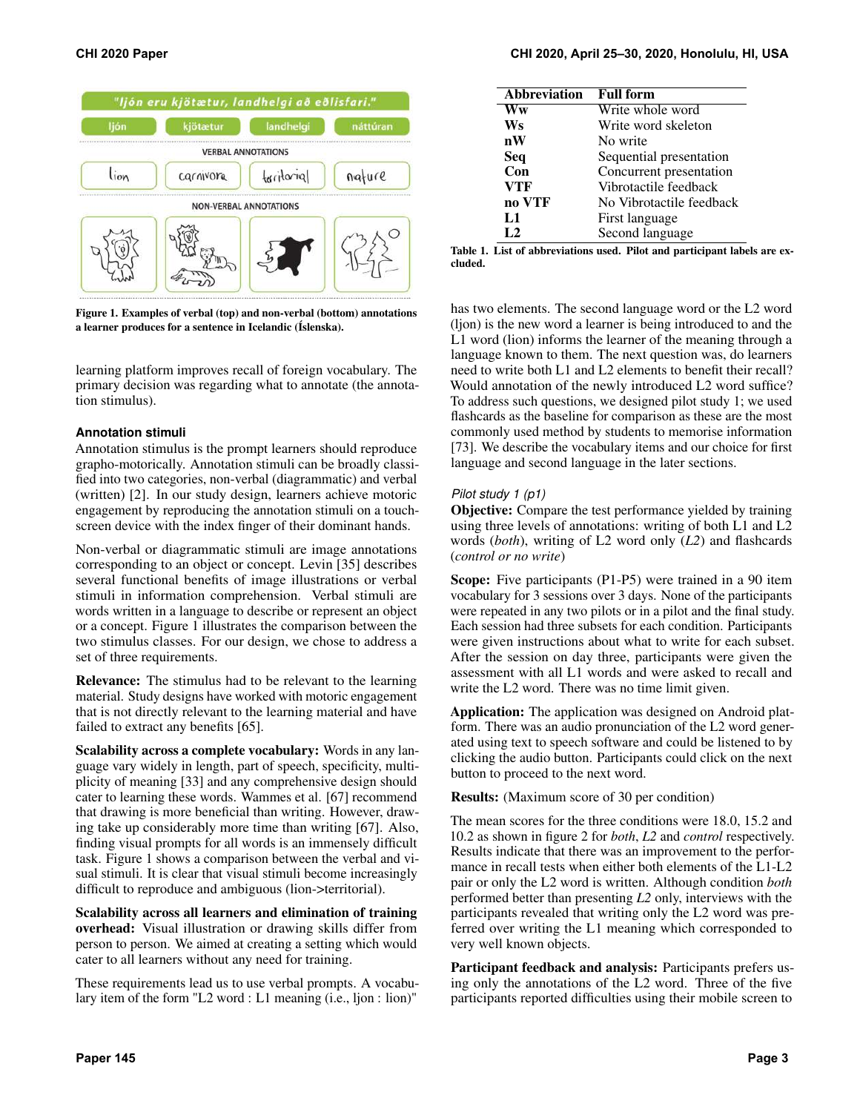

<span id="page-2-0"></span>Figure 1. Examples of verbal (top) and non-verbal (bottom) annotations a learner produces for a sentence in Icelandic (Íslenska).

learning platform improves recall of foreign vocabulary. The primary decision was regarding what to annotate (the annotation stimulus).

## **Annotation stimuli**

Annotation stimulus is the prompt learners should reproduce grapho-motorically. Annotation stimuli can be broadly classified into two categories, non-verbal (diagrammatic) and verbal (written) [\[2\]](#page-10-13). In our study design, learners achieve motoric engagement by reproducing the annotation stimuli on a touchscreen device with the index finger of their dominant hands.

Non-verbal or diagrammatic stimuli are image annotations corresponding to an object or concept. Levin [\[35\]](#page-11-16) describes several functional benefits of image illustrations or verbal stimuli in information comprehension. Verbal stimuli are words written in a language to describe or represent an object or a concept. Figure [1](#page-2-0) illustrates the comparison between the two stimulus classes. For our design, we chose to address a set of three requirements.

Relevance: The stimulus had to be relevant to the learning material. Study designs have worked with motoric engagement that is not directly relevant to the learning material and have failed to extract any benefits [\[65\]](#page-12-12).

Scalability across a complete vocabulary: Words in any language vary widely in length, part of speech, specificity, multiplicity of meaning [\[33\]](#page-11-17) and any comprehensive design should cater to learning these words. Wammes et al. [\[67\]](#page-12-13) recommend that drawing is more beneficial than writing. However, drawing take up considerably more time than writing [\[67\]](#page-12-13). Also, finding visual prompts for all words is an immensely difficult task. Figure [1](#page-2-0) shows a comparison between the verbal and visual stimuli. It is clear that visual stimuli become increasingly difficult to reproduce and ambiguous (lion->territorial).

Scalability across all learners and elimination of training overhead: Visual illustration or drawing skills differ from person to person. We aimed at creating a setting which would cater to all learners without any need for training.

These requirements lead us to use verbal prompts. A vocabulary item of the form "L2 word : L1 meaning (i.e., ljon : lion)"

| Abbreviation   | <b>Full form</b>         |
|----------------|--------------------------|
| Ww             | Write whole word         |
| Ws             | Write word skeleton      |
| nW             | No write                 |
| Seq            | Sequential presentation  |
| Con            | Concurrent presentation  |
| <b>VTF</b>     | Vibrotactile feedback    |
| no VTF         | No Vibrotactile feedback |
| L1             | First language           |
| L <sub>2</sub> | Second language          |

Table 1. List of abbreviations used. Pilot and participant labels are excluded.

has two elements. The second language word or the L2 word (ljon) is the new word a learner is being introduced to and the L1 word (lion) informs the learner of the meaning through a language known to them. The next question was, do learners need to write both L1 and L2 elements to benefit their recall? Would annotation of the newly introduced L2 word suffice? To address such questions, we designed pilot study 1; we used flashcards as the baseline for comparison as these are the most commonly used method by students to memorise information [\[73\]](#page-12-14). We describe the vocabulary items and our choice for first language and second language in the later sections.

# *Pilot study 1 (p1)*

Objective: Compare the test performance yielded by training using three levels of annotations: writing of both L1 and L2 words (*both*), writing of L2 word only (*L2*) and flashcards (*control or no write*)

Scope: Five participants (P1-P5) were trained in a 90 item vocabulary for 3 sessions over 3 days. None of the participants were repeated in any two pilots or in a pilot and the final study. Each session had three subsets for each condition. Participants were given instructions about what to write for each subset. After the session on day three, participants were given the assessment with all L1 words and were asked to recall and write the L2 word. There was no time limit given.

Application: The application was designed on Android platform. There was an audio pronunciation of the L2 word generated using text to speech software and could be listened to by clicking the audio button. Participants could click on the next button to proceed to the next word.

Results: (Maximum score of 30 per condition)

The mean scores for the three conditions were 18.0, 15.2 and 10.2 as shown in figure [2](#page-3-0) for *both*, *L2* and *control* respectively. Results indicate that there was an improvement to the performance in recall tests when either both elements of the L1-L2 pair or only the L2 word is written. Although condition *both*  performed better than presenting *L2* only, interviews with the participants revealed that writing only the L2 word was preferred over writing the L1 meaning which corresponded to very well known objects.

Participant feedback and analysis: Participants prefers using only the annotations of the L2 word. Three of the five participants reported difficulties using their mobile screen to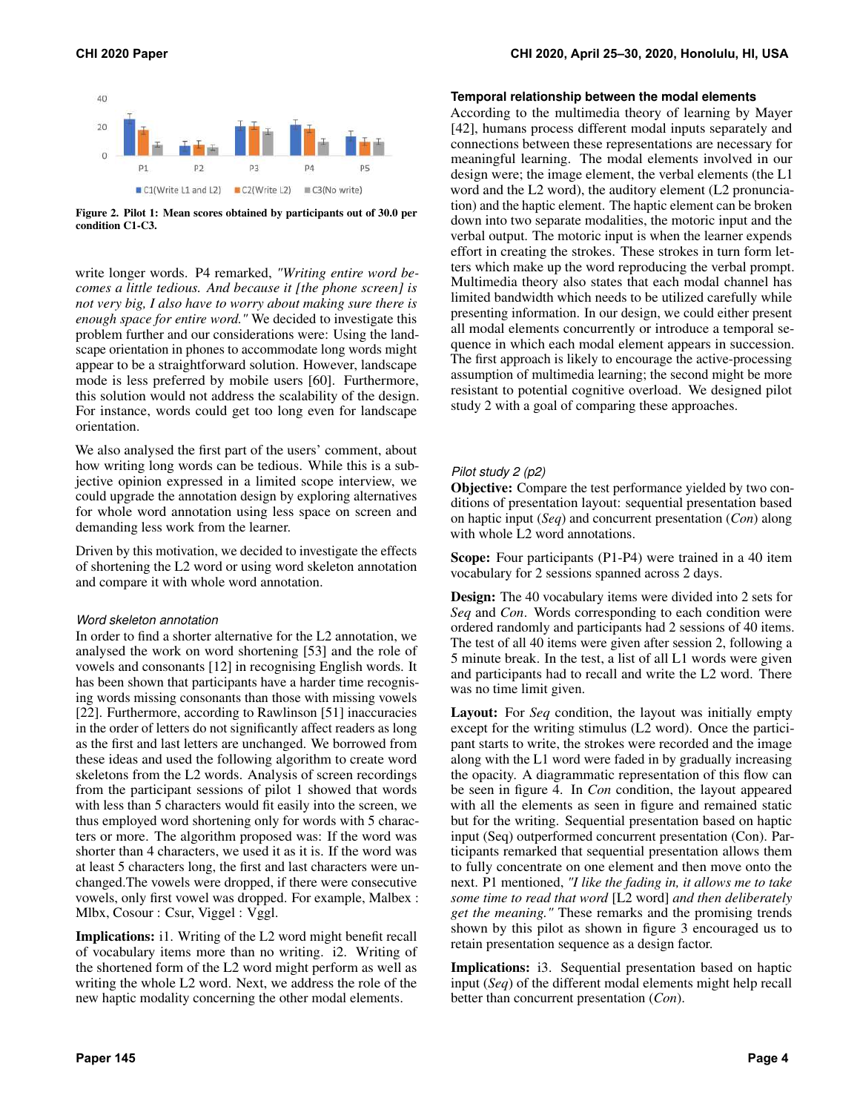

<span id="page-3-0"></span>Figure 2. Pilot 1: Mean scores obtained by participants out of 30.0 per condition C1-C3.

write longer words. P4 remarked, *"Writing entire word becomes a little tedious. And because it [the phone screen] is not very big, I also have to worry about making sure there is enough space for entire word."* We decided to investigate this problem further and our considerations were: Using the landscape orientation in phones to accommodate long words might appear to be a straightforward solution. However, landscape mode is less preferred by mobile users [\[60\]](#page-12-15). Furthermore, this solution would not address the scalability of the design. For instance, words could get too long even for landscape orientation.

We also analysed the first part of the users' comment, about how writing long words can be tedious. While this is a subjective opinion expressed in a limited scope interview, we could upgrade the annotation design by exploring alternatives for whole word annotation using less space on screen and demanding less work from the learner.

Driven by this motivation, we decided to investigate the effects of shortening the L2 word or using word skeleton annotation and compare it with whole word annotation.

#### *Word skeleton annotation*

In order to find a shorter alternative for the L2 annotation, we analysed the work on word shortening [\[53\]](#page-11-18) and the role of vowels and consonants [\[12\]](#page-10-14) in recognising English words. It has been shown that participants have a harder time recognising words missing consonants than those with missing vowels [\[22\]](#page-10-15). Furthermore, according to Rawlinson [\[51\]](#page-11-19) inaccuracies in the order of letters do not significantly affect readers as long as the first and last letters are unchanged. We borrowed from these ideas and used the following algorithm to create word skeletons from the L2 words. Analysis of screen recordings from the participant sessions of pilot 1 showed that words with less than 5 characters would fit easily into the screen, we thus employed word shortening only for words with 5 characters or more. The algorithm proposed was: If the word was shorter than 4 characters, we used it as it is. If the word was at least 5 characters long, the first and last characters were unchanged.The vowels were dropped, if there were consecutive vowels, only first vowel was dropped. For example, Malbex : Mlbx, Cosour : Csur, Viggel : Vggl.

Implications: i1. Writing of the L2 word might benefit recall of vocabulary items more than no writing. i2. Writing of the shortened form of the L2 word might perform as well as writing the whole L2 word. Next, we address the role of the new haptic modality concerning the other modal elements.

#### **Temporal relationship between the modal elements**

According to the multimedia theory of learning by Mayer [\[42\]](#page-11-20), humans process different modal inputs separately and connections between these representations are necessary for meaningful learning. The modal elements involved in our design were; the image element, the verbal elements (the L1 word and the L2 word), the auditory element (L2 pronunciation) and the haptic element. The haptic element can be broken down into two separate modalities, the motoric input and the verbal output. The motoric input is when the learner expends effort in creating the strokes. These strokes in turn form letters which make up the word reproducing the verbal prompt. Multimedia theory also states that each modal channel has limited bandwidth which needs to be utilized carefully while presenting information. In our design, we could either present all modal elements concurrently or introduce a temporal sequence in which each modal element appears in succession. The first approach is likely to encourage the active-processing assumption of multimedia learning; the second might be more resistant to potential cognitive overload. We designed pilot study 2 with a goal of comparing these approaches.

## *Pilot study 2 (p2)*

Objective: Compare the test performance yielded by two conditions of presentation layout: sequential presentation based on haptic input (*Seq*) and concurrent presentation (*Con*) along with whole L2 word annotations.

Scope: Four participants (P1-P4) were trained in a 40 item vocabulary for 2 sessions spanned across 2 days.

Design: The 40 vocabulary items were divided into 2 sets for *Seq* and *Con*. Words corresponding to each condition were ordered randomly and participants had 2 sessions of 40 items. The test of all 40 items were given after session 2, following a 5 minute break. In the test, a list of all L1 words were given and participants had to recall and write the L2 word. There was no time limit given.

Layout: For *Seq* condition, the layout was initially empty except for the writing stimulus (L2 word). Once the participant starts to write, the strokes were recorded and the image along with the L1 word were faded in by gradually increasing the opacity. A diagrammatic representation of this flow can be seen in figure [4.](#page-6-0) In *Con* condition, the layout appeared with all the elements as seen in figure and remained static but for the writing. Sequential presentation based on haptic input (Seq) outperformed concurrent presentation (Con). Participants remarked that sequential presentation allows them to fully concentrate on one element and then move onto the next. P1 mentioned, *"I like the fading in, it allows me to take some time to read that word* [L2 word] *and then deliberately get the meaning."* These remarks and the promising trends shown by this pilot as shown in figure [3](#page-4-0) encouraged us to retain presentation sequence as a design factor.

Implications: i3. Sequential presentation based on haptic input (*Seq*) of the different modal elements might help recall better than concurrent presentation (*Con*).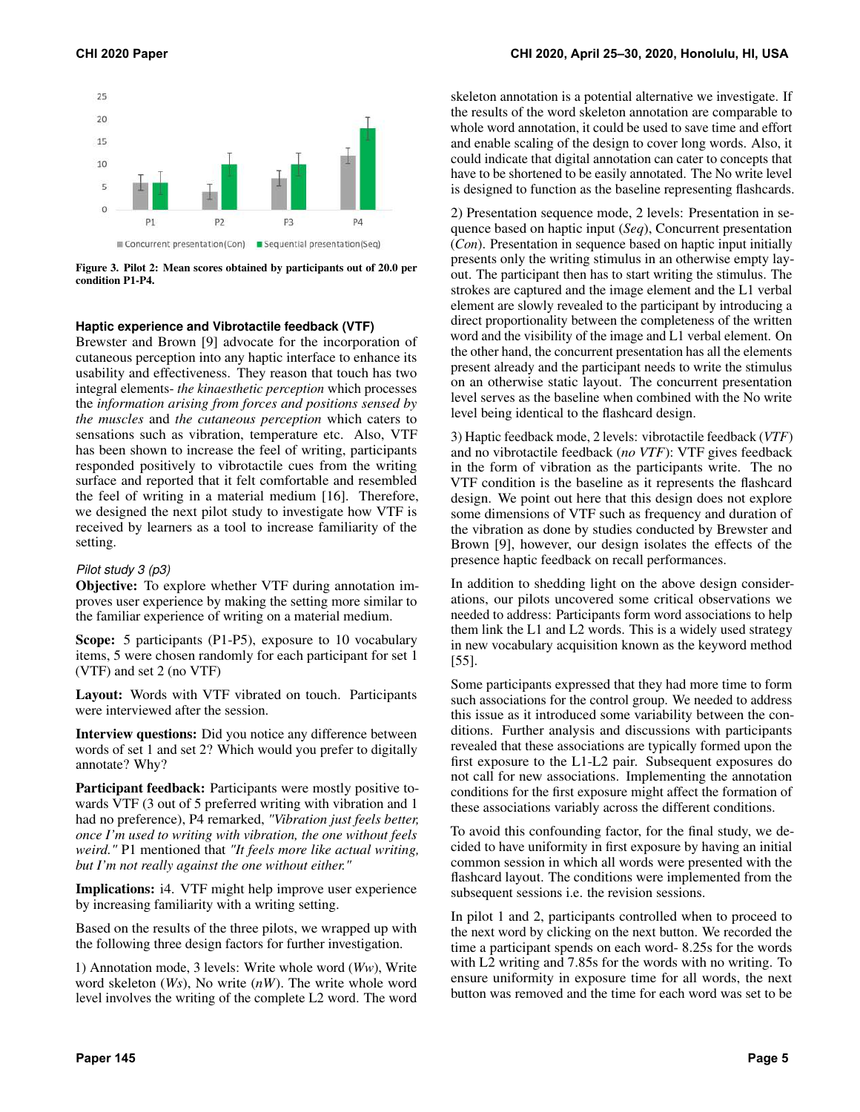

<span id="page-4-0"></span>Figure 3. Pilot 2: Mean scores obtained by participants out of 20.0 per condition P1-P4.

#### **Haptic experience and Vibrotactile feedback (VTF)**

Brewster and Brown [\[9\]](#page-10-16) advocate for the incorporation of cutaneous perception into any haptic interface to enhance its usability and effectiveness. They reason that touch has two integral elements- *the kinaesthetic perception* which processes the *information arising from forces and positions sensed by the muscles* and *the cutaneous perception* which caters to sensations such as vibration, temperature etc. Also, VTF has been shown to increase the feel of writing, participants responded positively to vibrotactile cues from the writing surface and reported that it felt comfortable and resembled the feel of writing in a material medium [\[16\]](#page-10-17). Therefore, we designed the next pilot study to investigate how VTF is received by learners as a tool to increase familiarity of the setting.

#### *Pilot study 3 (p3)*

Objective: To explore whether VTF during annotation improves user experience by making the setting more similar to the familiar experience of writing on a material medium.

Scope: 5 participants (P1-P5), exposure to 10 vocabulary items, 5 were chosen randomly for each participant for set 1 (VTF) and set 2 (no VTF)

Layout: Words with VTF vibrated on touch. Participants were interviewed after the session.

Interview questions: Did you notice any difference between words of set 1 and set 2? Which would you prefer to digitally annotate? Why?

Participant feedback: Participants were mostly positive towards VTF (3 out of 5 preferred writing with vibration and 1 had no preference), P4 remarked, *"Vibration just feels better, once I'm used to writing with vibration, the one without feels weird."* P1 mentioned that *"It feels more like actual writing, but I'm not really against the one without either."* 

Implications: i4. VTF might help improve user experience by increasing familiarity with a writing setting.

Based on the results of the three pilots, we wrapped up with the following three design factors for further investigation.

1) Annotation mode, 3 levels: Write whole word (*Ww*), Write word skeleton (*Ws*), No write (*nW*). The write whole word level involves the writing of the complete L2 word. The word skeleton annotation is a potential alternative we investigate. If the results of the word skeleton annotation are comparable to whole word annotation, it could be used to save time and effort and enable scaling of the design to cover long words. Also, it could indicate that digital annotation can cater to concepts that have to be shortened to be easily annotated. The No write level is designed to function as the baseline representing flashcards.

2) Presentation sequence mode, 2 levels: Presentation in sequence based on haptic input (*Seq*), Concurrent presentation (*Con*). Presentation in sequence based on haptic input initially presents only the writing stimulus in an otherwise empty layout. The participant then has to start writing the stimulus. The strokes are captured and the image element and the L1 verbal element are slowly revealed to the participant by introducing a direct proportionality between the completeness of the written word and the visibility of the image and L1 verbal element. On the other hand, the concurrent presentation has all the elements present already and the participant needs to write the stimulus on an otherwise static layout. The concurrent presentation level serves as the baseline when combined with the No write level being identical to the flashcard design.

3) Haptic feedback mode, 2 levels: vibrotactile feedback (*VTF*) and no vibrotactile feedback (*no VTF*): VTF gives feedback in the form of vibration as the participants write. The no VTF condition is the baseline as it represents the flashcard design. We point out here that this design does not explore some dimensions of VTF such as frequency and duration of the vibration as done by studies conducted by Brewster and Brown [\[9\]](#page-10-16), however, our design isolates the effects of the presence haptic feedback on recall performances.

In addition to shedding light on the above design considerations, our pilots uncovered some critical observations we needed to address: Participants form word associations to help them link the L1 and L2 words. This is a widely used strategy in new vocabulary acquisition known as the keyword method [\[55\]](#page-12-16).

Some participants expressed that they had more time to form such associations for the control group. We needed to address this issue as it introduced some variability between the conditions. Further analysis and discussions with participants revealed that these associations are typically formed upon the first exposure to the L1-L2 pair. Subsequent exposures do not call for new associations. Implementing the annotation conditions for the first exposure might affect the formation of these associations variably across the different conditions.

To avoid this confounding factor, for the final study, we decided to have uniformity in first exposure by having an initial common session in which all words were presented with the flashcard layout. The conditions were implemented from the subsequent sessions i.e. the revision sessions.

In pilot 1 and 2, participants controlled when to proceed to the next word by clicking on the next button. We recorded the time a participant spends on each word- 8.25s for the words with L2 writing and 7.85s for the words with no writing. To ensure uniformity in exposure time for all words, the next button was removed and the time for each word was set to be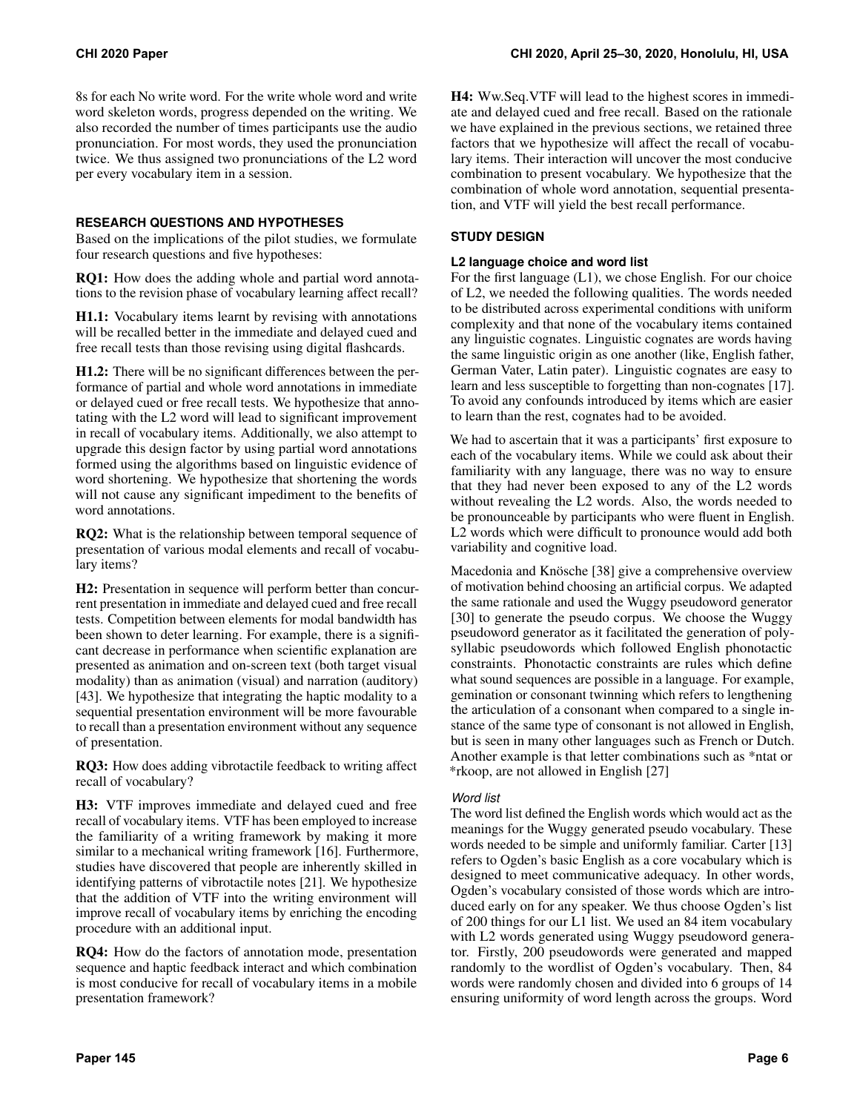8s for each No write word. For the write whole word and write word skeleton words, progress depended on the writing. We also recorded the number of times participants use the audio pronunciation. For most words, they used the pronunciation twice. We thus assigned two pronunciations of the L2 word per every vocabulary item in a session.

## **RESEARCH QUESTIONS AND HYPOTHESES**

Based on the implications of the pilot studies, we formulate four research questions and five hypotheses:

RQ1: How does the adding whole and partial word annotations to the revision phase of vocabulary learning affect recall?

H1.1: Vocabulary items learnt by revising with annotations will be recalled better in the immediate and delayed cued and free recall tests than those revising using digital flashcards.

H1.2: There will be no significant differences between the performance of partial and whole word annotations in immediate or delayed cued or free recall tests. We hypothesize that annotating with the L2 word will lead to significant improvement in recall of vocabulary items. Additionally, we also attempt to upgrade this design factor by using partial word annotations formed using the algorithms based on linguistic evidence of word shortening. We hypothesize that shortening the words will not cause any significant impediment to the benefits of word annotations.

RQ2: What is the relationship between temporal sequence of presentation of various modal elements and recall of vocabulary items?

H2: Presentation in sequence will perform better than concurrent presentation in immediate and delayed cued and free recall tests. Competition between elements for modal bandwidth has been shown to deter learning. For example, there is a significant decrease in performance when scientific explanation are presented as animation and on-screen text (both target visual modality) than as animation (visual) and narration (auditory) [\[43\]](#page-11-21). We hypothesize that integrating the haptic modality to a sequential presentation environment will be more favourable to recall than a presentation environment without any sequence of presentation.

RQ3: How does adding vibrotactile feedback to writing affect recall of vocabulary?

H3: VTF improves immediate and delayed cued and free recall of vocabulary items. VTF has been employed to increase the familiarity of a writing framework by making it more similar to a mechanical writing framework [\[16\]](#page-10-17). Furthermore, studies have discovered that people are inherently skilled in identifying patterns of vibrotactile notes [\[21\]](#page-10-18). We hypothesize that the addition of VTF into the writing environment will improve recall of vocabulary items by enriching the encoding procedure with an additional input.

RQ4: How do the factors of annotation mode, presentation sequence and haptic feedback interact and which combination is most conducive for recall of vocabulary items in a mobile presentation framework?

H4: Ww.Seq.VTF will lead to the highest scores in immediate and delayed cued and free recall. Based on the rationale we have explained in the previous sections, we retained three factors that we hypothesize will affect the recall of vocabulary items. Their interaction will uncover the most conducive combination to present vocabulary. We hypothesize that the combination of whole word annotation, sequential presentation, and VTF will yield the best recall performance.

# **STUDY DESIGN**

# **L2 language choice and word list**

For the first language (L1), we chose English. For our choice of L2, we needed the following qualities. The words needed to be distributed across experimental conditions with uniform complexity and that none of the vocabulary items contained any linguistic cognates. Linguistic cognates are words having the same linguistic origin as one another (like, English father, German Vater, Latin pater). Linguistic cognates are easy to learn and less susceptible to forgetting than non-cognates [\[17\]](#page-10-19). To avoid any confounds introduced by items which are easier to learn than the rest, cognates had to be avoided.

We had to ascertain that it was a participants' first exposure to each of the vocabulary items. While we could ask about their familiarity with any language, there was no way to ensure that they had never been exposed to any of the L2 words without revealing the L2 words. Also, the words needed to be pronounceable by participants who were fluent in English. L2 words which were difficult to pronounce would add both variability and cognitive load.

Macedonia and Knösche [\[38\]](#page-11-10) give a comprehensive overview of motivation behind choosing an artificial corpus. We adapted the same rationale and used the Wuggy pseudoword generator [\[30\]](#page-11-22) to generate the pseudo corpus. We choose the Wuggy pseudoword generator as it facilitated the generation of polysyllabic pseudowords which followed English phonotactic constraints. Phonotactic constraints are rules which define what sound sequences are possible in a language. For example, gemination or consonant twinning which refers to lengthening the articulation of a consonant when compared to a single instance of the same type of consonant is not allowed in English, but is seen in many other languages such as French or Dutch. Another example is that letter combinations such as \*ntat or \*rkoop, are not allowed in English [\[27\]](#page-11-23)

## *Word list*

The word list defined the English words which would act as the meanings for the Wuggy generated pseudo vocabulary. These words needed to be simple and uniformly familiar. Carter [\[13\]](#page-10-20) refers to Ogden's basic English as a core vocabulary which is designed to meet communicative adequacy. In other words, Ogden's vocabulary consisted of those words which are introduced early on for any speaker. We thus choose Ogden's list of 200 things for our L1 list. We used an 84 item vocabulary with L2 words generated using Wuggy pseudoword generator. Firstly, 200 pseudowords were generated and mapped randomly to the wordlist of Ogden's vocabulary. Then, 84 words were randomly chosen and divided into 6 groups of 14 ensuring uniformity of word length across the groups. Word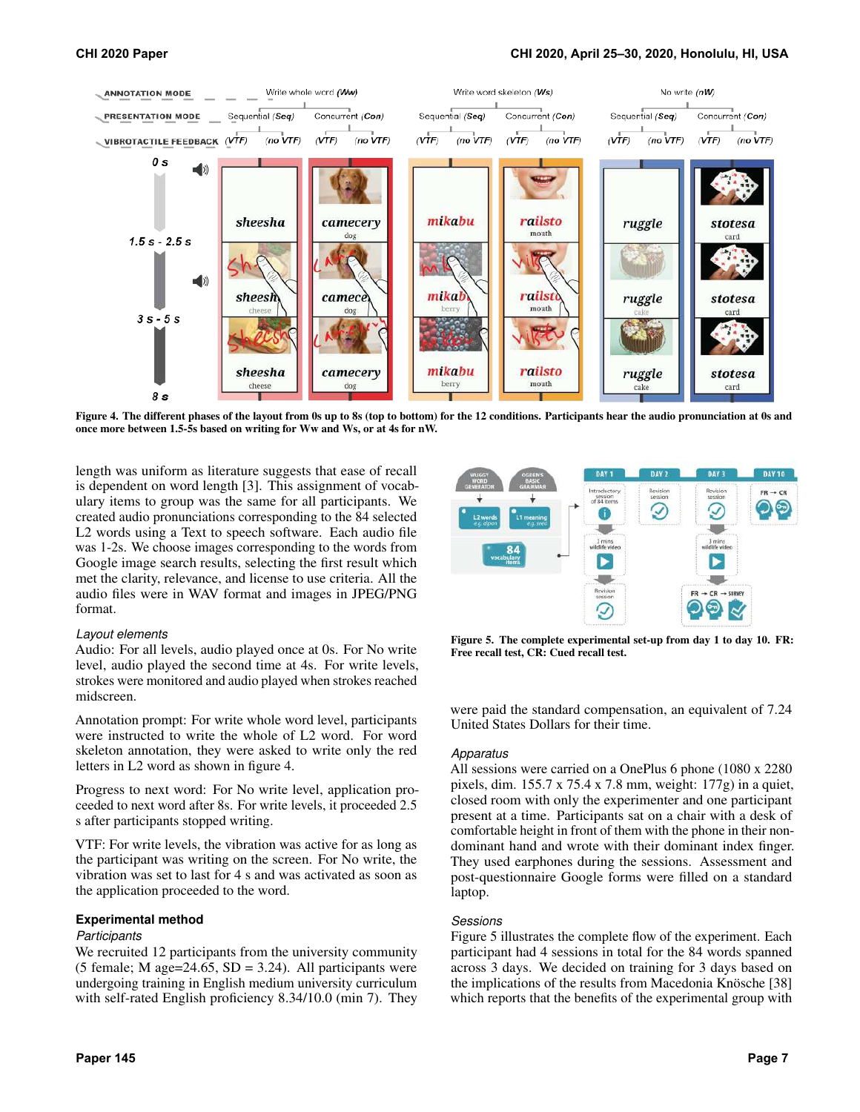

<span id="page-6-0"></span>Figure 4. The different phases of the layout from 0s up to 8s (top to bottom) for the 12 conditions. Participants hear the audio pronunciation at 0s and once more between 1.5-5s based on writing for Ww and Ws, or at 4s for nW.

length was uniform as literature suggests that ease of recall is dependent on word length [\[3\]](#page-10-21). This assignment of vocabulary items to group was the same for all participants. We created audio pronunciations corresponding to the 84 selected L2 words using a Text to speech software. Each audio file was 1-2s. We choose images corresponding to the words from Google image search results, selecting the first result which met the clarity, relevance, and license to use criteria. All the audio files were in WAV format and images in JPEG/PNG format.

#### *Layout elements*

Audio: For all levels, audio played once at 0s. For No write level, audio played the second time at 4s. For write levels, strokes were monitored and audio played when strokes reached midscreen.

Annotation prompt: For write whole word level, participants were instructed to write the whole of L2 word. For word skeleton annotation, they were asked to write only the red letters in L2 word as shown in figure [4.](#page-6-0)

Progress to next word: For No write level, application proceeded to next word after 8s. For write levels, it proceeded 2.5 s after participants stopped writing.

VTF: For write levels, the vibration was active for as long as the participant was writing on the screen. For No write, the vibration was set to last for 4 s and was activated as soon as the application proceeded to the word.

## **Experimental method**

#### *Participants*

We recruited 12 participants from the university community (5 female; M age= $24.65$ , SD =  $3.24$ ). All participants were undergoing training in English medium university curriculum with self-rated English proficiency 8.34/10.0 (min 7). They



<span id="page-6-1"></span>Figure 5. The complete experimental set-up from day 1 to day 10. FR: Free recall test, CR: Cued recall test.

were paid the standard compensation, an equivalent of 7.24 United States Dollars for their time.

#### *Apparatus*

All sessions were carried on a OnePlus 6 phone (1080 x 2280 pixels, dim. 155.7 x 75.4 x 7.8 mm, weight: 177g) in a quiet, closed room with only the experimenter and one participant present at a time. Participants sat on a chair with a desk of comfortable height in front of them with the phone in their nondominant hand and wrote with their dominant index finger. They used earphones during the sessions. Assessment and post-questionnaire Google forms were filled on a standard laptop.

#### *Sessions*

Figure [5](#page-6-1) illustrates the complete flow of the experiment. Each participant had 4 sessions in total for the 84 words spanned across 3 days. We decided on training for 3 days based on the implications of the results from Macedonia Knösche [\[38\]](#page-11-10) which reports that the benefits of the experimental group with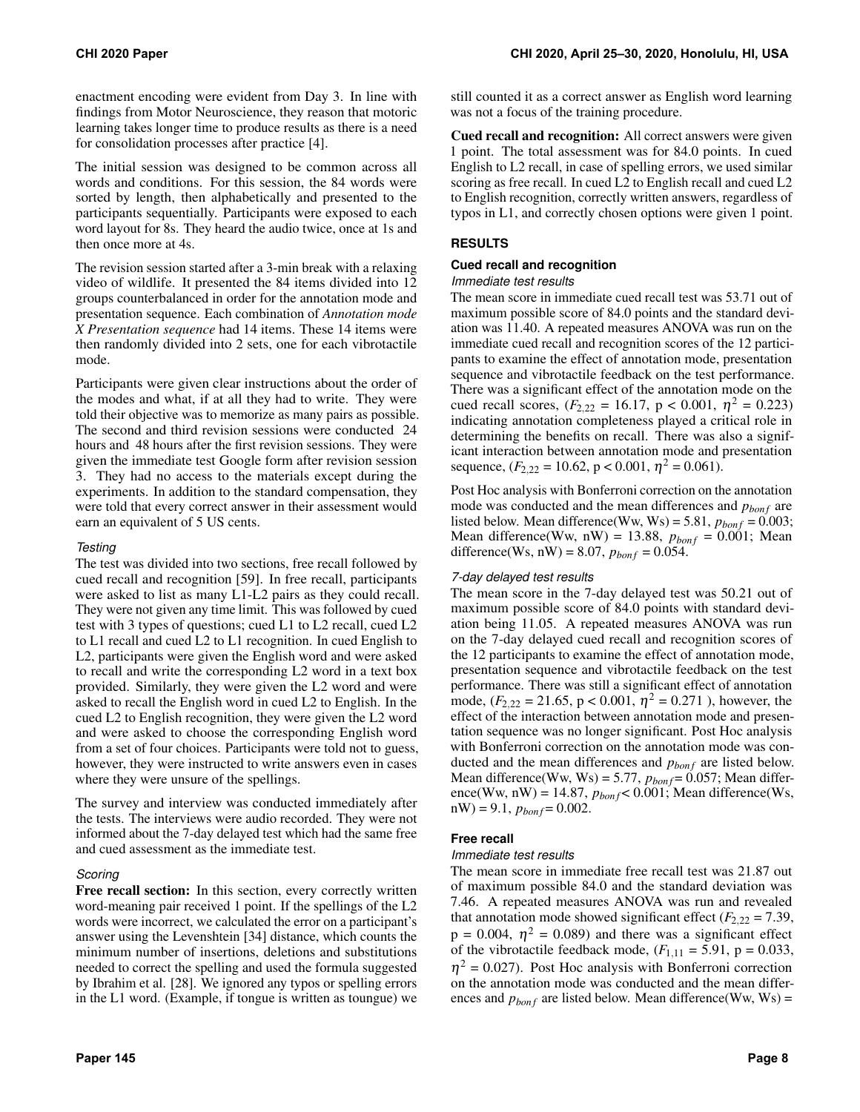enactment encoding were evident from Day 3. In line with findings from Motor Neuroscience, they reason that motoric learning takes longer time to produce results as there is a need for consolidation processes after practice [\[4\]](#page-10-22).

The initial session was designed to be common across all words and conditions. For this session, the 84 words were sorted by length, then alphabetically and presented to the participants sequentially. Participants were exposed to each word layout for 8s. They heard the audio twice, once at 1s and then once more at 4s.

The revision session started after a 3-min break with a relaxing video of wildlife. It presented the 84 items divided into 12 groups counterbalanced in order for the annotation mode and presentation sequence. Each combination of *Annotation mode X Presentation sequence* had 14 items. These 14 items were then randomly divided into 2 sets, one for each vibrotactile mode.

Participants were given clear instructions about the order of the modes and what, if at all they had to write. They were told their objective was to memorize as many pairs as possible. The second and third revision sessions were conducted 24 hours and 48 hours after the first revision sessions. They were given the immediate test Google form after revision session 3. They had no access to the materials except during the experiments. In addition to the standard compensation, they were told that every correct answer in their assessment would earn an equivalent of 5 US cents.

# *Testing*

The test was divided into two sections, free recall followed by cued recall and recognition [\[59\]](#page-12-17). In free recall, participants were asked to list as many L1-L2 pairs as they could recall. They were not given any time limit. This was followed by cued test with 3 types of questions; cued L1 to L2 recall, cued L2 to L1 recall and cued L2 to L1 recognition. In cued English to L2, participants were given the English word and were asked to recall and write the corresponding L2 word in a text box provided. Similarly, they were given the L2 word and were asked to recall the English word in cued L2 to English. In the cued L2 to English recognition, they were given the L2 word and were asked to choose the corresponding English word from a set of four choices. Participants were told not to guess, however, they were instructed to write answers even in cases where they were unsure of the spellings.

The survey and interview was conducted immediately after the tests. The interviews were audio recorded. They were not informed about the 7-day delayed test which had the same free and cued assessment as the immediate test.

## *Scoring*

Free recall section: In this section, every correctly written word-meaning pair received 1 point. If the spellings of the L2 words were incorrect, we calculated the error on a participant's answer using the Levenshtein [\[34\]](#page-11-24) distance, which counts the minimum number of insertions, deletions and substitutions needed to correct the spelling and used the formula suggested by Ibrahim et al. [\[28\]](#page-11-25). We ignored any typos or spelling errors in the L1 word. (Example, if tongue is written as toungue) we still counted it as a correct answer as English word learning was not a focus of the training procedure.

Cued recall and recognition: All correct answers were given 1 point. The total assessment was for 84.0 points. In cued English to L2 recall, in case of spelling errors, we used similar scoring as free recall. In cued L2 to English recall and cued L2 to English recognition, correctly written answers, regardless of typos in L1, and correctly chosen options were given 1 point.

# **RESULTS**

#### **Cued recall and recognition**

#### *Immediate test results*

The mean score in immediate cued recall test was 53.71 out of maximum possible score of 84.0 points and the standard deviation was 11.40. A repeated measures ANOVA was run on the immediate cued recall and recognition scores of the 12 participants to examine the effect of annotation mode, presentation sequence and vibrotactile feedback on the test performance. There was a significant effect of the annotation mode on the cued recall scores,  $(F_{2,22} = 16.17, p < 0.001, \eta^2 = 0.223)$ indicating annotation completeness played a critical role in determining the benefits on recall. There was also a significant interaction between annotation mode and presentation sequence,  $(F_{2,22} = 10.62, p < 0.001, \eta^2 = 0.061)$ .

Post Hoc analysis with Bonferroni correction on the annotation mode was conducted and the mean differences and  $p_{bonf}$  are listed below. Mean difference(Ww, Ws) = 5.81,  $p_{bonf} = 0.003$ ; Mean difference(Ww, nW) = 13.88,  $p_{bonf} = 0.001$ ; Mean difference(Ws, nW) = 8.07,  $p_{bonf} = 0.054$ .

## *7-day delayed test results*

The mean score in the 7-day delayed test was 50.21 out of maximum possible score of 84.0 points with standard deviation being 11.05. A repeated measures ANOVA was run on the 7-day delayed cued recall and recognition scores of the 12 participants to examine the effect of annotation mode, presentation sequence and vibrotactile feedback on the test performance. There was still a significant effect of annotation mode,  $(F_{2,22} = 21.65, p < 0.001, \eta^2 = 0.271$ ), however, the effect of the interaction between annotation mode and presentation sequence was no longer significant. Post Hoc analysis with Bonferroni correction on the annotation mode was conducted and the mean differences and  $p_{bonf}$  are listed below. Mean difference(Ww, Ws) = 5.77,  $p_{bonf} = 0.057$ ; Mean difference(Ww, nW) = 14.87,  $p_{bonf}$  < 0.001; Mean difference(Ws,  $nW$ ) = 9.1,  $p_{bonf}$  = 0.002.

## **Free recall**

#### *Immediate test results*

The mean score in immediate free recall test was 21.87 out of maximum possible 84.0 and the standard deviation was 7.46. A repeated measures ANOVA was run and revealed that annotation mode showed significant effect  $(F_{2,22} = 7.39)$ ,  $p = 0.004$ ,  $\eta^2 = 0.089$ ) and there was a significant effect of the vibrotactile feedback mode,  $(F_{1,11} = 5.91, p = 0.033,$  $\eta^2$  = 0.027). Post Hoc analysis with Bonferroni correction on the annotation mode was conducted and the mean differences and  $p_{bonf}$  are listed below. Mean difference(Ww, Ws) =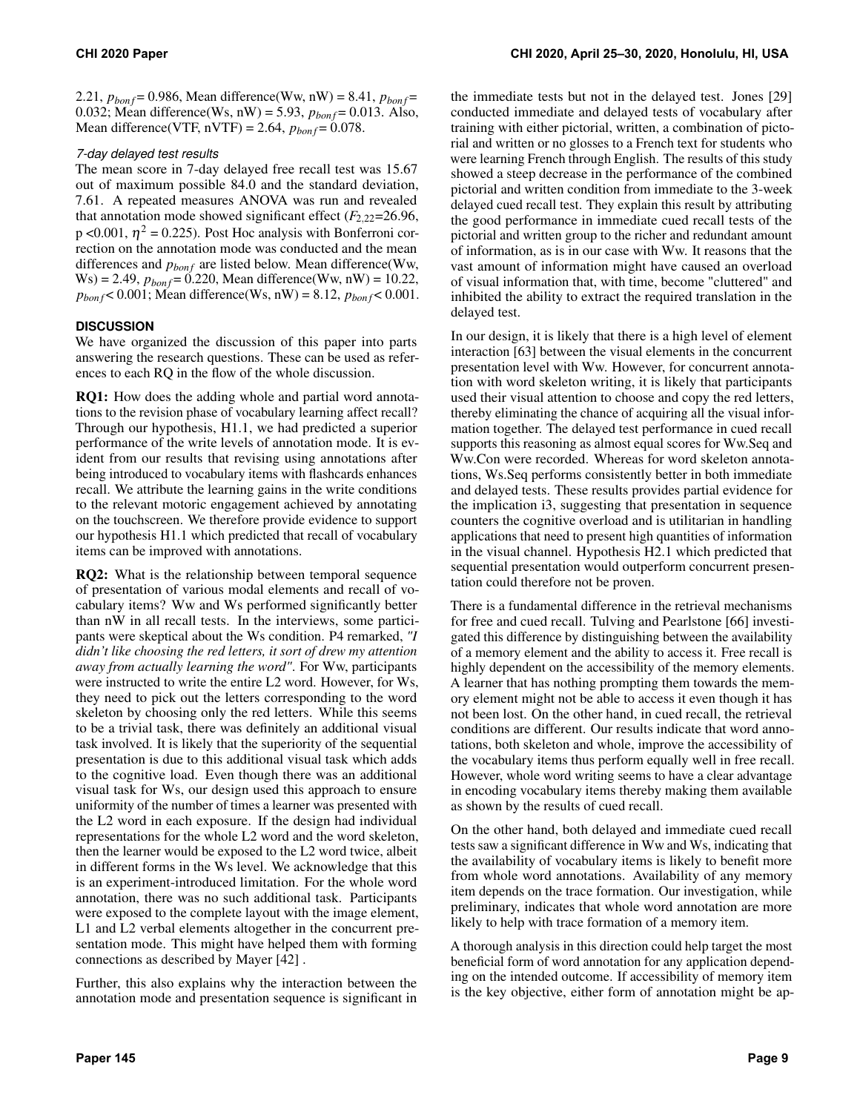2.21,  $p_{bonf} = 0.986$ , Mean difference(Ww, nW) = 8.41,  $p_{bonf} =$ 0.032; Mean difference(Ws, nW) = 5.93,  $p_{bonf} = 0.013$ . Also, Mean difference(VTF,  $nVTF$ ) = 2.64,  $p_{bonf}$  = 0.078.

# *7-day delayed test results*

The mean score in 7-day delayed free recall test was 15.67 out of maximum possible 84.0 and the standard deviation, 7.61. A repeated measures ANOVA was run and revealed that annotation mode showed significant effect  $(F_{2,22}=26.96,$ p <0.001,  $\eta^2$  = 0.225). Post Hoc analysis with Bonferroni correction on the annotation mode was conducted and the mean differences and  $p_{bonf}$  are listed below. Mean difference(Ww,  $Ws$ ) = 2.49,  $p_{bonf}$  = 0.220, Mean difference(Ww, nW) = 10.22,  $p_{bon f}$  < 0.001; Mean difference(Ws, nW) = 8.12,  $p_{bon f}$  < 0.001.

# **DISCUSSION**

We have organized the discussion of this paper into parts answering the research questions. These can be used as references to each RQ in the flow of the whole discussion.

RQ1: How does the adding whole and partial word annotations to the revision phase of vocabulary learning affect recall? Through our hypothesis, H1.1, we had predicted a superior performance of the write levels of annotation mode. It is evident from our results that revising using annotations after being introduced to vocabulary items with flashcards enhances recall. We attribute the learning gains in the write conditions to the relevant motoric engagement achieved by annotating on the touchscreen. We therefore provide evidence to support our hypothesis H1.1 which predicted that recall of vocabulary items can be improved with annotations.

RQ2: What is the relationship between temporal sequence of presentation of various modal elements and recall of vocabulary items? Ww and Ws performed significantly better than nW in all recall tests. In the interviews, some participants were skeptical about the Ws condition. P4 remarked, *"I didn't like choosing the red letters, it sort of drew my attention away from actually learning the word"*. For Ww, participants were instructed to write the entire L2 word. However, for Ws, they need to pick out the letters corresponding to the word skeleton by choosing only the red letters. While this seems to be a trivial task, there was definitely an additional visual task involved. It is likely that the superiority of the sequential presentation is due to this additional visual task which adds to the cognitive load. Even though there was an additional visual task for Ws, our design used this approach to ensure uniformity of the number of times a learner was presented with the L2 word in each exposure. If the design had individual representations for the whole L2 word and the word skeleton, then the learner would be exposed to the L2 word twice, albeit in different forms in the Ws level. We acknowledge that this is an experiment-introduced limitation. For the whole word annotation, there was no such additional task. Participants were exposed to the complete layout with the image element, L1 and L2 verbal elements altogether in the concurrent presentation mode. This might have helped them with forming connections as described by Mayer [\[42\]](#page-11-20) .

Further, this also explains why the interaction between the annotation mode and presentation sequence is significant in

the immediate tests but not in the delayed test. Jones [\[29\]](#page-11-26) conducted immediate and delayed tests of vocabulary after training with either pictorial, written, a combination of pictorial and written or no glosses to a French text for students who were learning French through English. The results of this study showed a steep decrease in the performance of the combined pictorial and written condition from immediate to the 3-week delayed cued recall test. They explain this result by attributing the good performance in immediate cued recall tests of the pictorial and written group to the richer and redundant amount of information, as is in our case with Ww. It reasons that the vast amount of information might have caused an overload of visual information that, with time, become "cluttered" and inhibited the ability to extract the required translation in the delayed test.

In our design, it is likely that there is a high level of element interaction [\[63\]](#page-12-18) between the visual elements in the concurrent presentation level with Ww. However, for concurrent annotation with word skeleton writing, it is likely that participants used their visual attention to choose and copy the red letters, thereby eliminating the chance of acquiring all the visual information together. The delayed test performance in cued recall supports this reasoning as almost equal scores for Ww.Seq and Ww.Con were recorded. Whereas for word skeleton annotations, Ws.Seq performs consistently better in both immediate and delayed tests. These results provides partial evidence for the implication i3, suggesting that presentation in sequence counters the cognitive overload and is utilitarian in handling applications that need to present high quantities of information in the visual channel. Hypothesis H2.1 which predicted that sequential presentation would outperform concurrent presentation could therefore not be proven.

There is a fundamental difference in the retrieval mechanisms for free and cued recall. Tulving and Pearlstone [\[66\]](#page-12-19) investigated this difference by distinguishing between the availability of a memory element and the ability to access it. Free recall is highly dependent on the accessibility of the memory elements. A learner that has nothing prompting them towards the memory element might not be able to access it even though it has not been lost. On the other hand, in cued recall, the retrieval conditions are different. Our results indicate that word annotations, both skeleton and whole, improve the accessibility of the vocabulary items thus perform equally well in free recall. However, whole word writing seems to have a clear advantage in encoding vocabulary items thereby making them available as shown by the results of cued recall.

On the other hand, both delayed and immediate cued recall tests saw a significant difference in Ww and Ws, indicating that the availability of vocabulary items is likely to benefit more from whole word annotations. Availability of any memory item depends on the trace formation. Our investigation, while preliminary, indicates that whole word annotation are more likely to help with trace formation of a memory item.

A thorough analysis in this direction could help target the most beneficial form of word annotation for any application depending on the intended outcome. If accessibility of memory item is the key objective, either form of annotation might be ap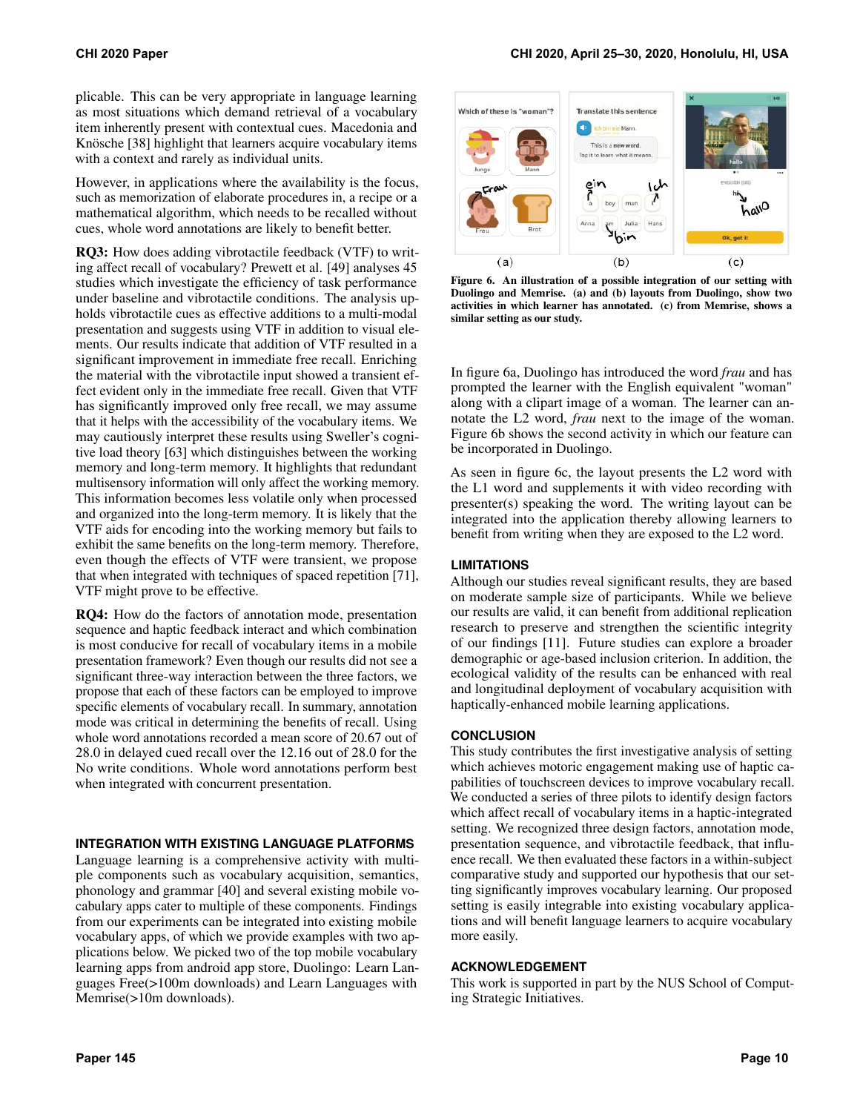plicable. This can be very appropriate in language learning as most situations which demand retrieval of a vocabulary item inherently present with contextual cues. Macedonia and Knösche [\[38\]](#page-11-10) highlight that learners acquire vocabulary items with a context and rarely as individual units.

However, in applications where the availability is the focus, such as memorization of elaborate procedures in, a recipe or a mathematical algorithm, which needs to be recalled without cues, whole word annotations are likely to benefit better.

RQ3: How does adding vibrotactile feedback (VTF) to writing affect recall of vocabulary? Prewett et al. [\[49\]](#page-11-27) analyses 45 studies which investigate the efficiency of task performance under baseline and vibrotactile conditions. The analysis upholds vibrotactile cues as effective additions to a multi-modal presentation and suggests using VTF in addition to visual elements. Our results indicate that addition of VTF resulted in a significant improvement in immediate free recall. Enriching the material with the vibrotactile input showed a transient effect evident only in the immediate free recall. Given that VTF has significantly improved only free recall, we may assume that it helps with the accessibility of the vocabulary items. We may cautiously interpret these results using Sweller's cognitive load theory [\[63\]](#page-12-18) which distinguishes between the working memory and long-term memory. It highlights that redundant multisensory information will only affect the working memory. This information becomes less volatile only when processed and organized into the long-term memory. It is likely that the VTF aids for encoding into the working memory but fails to exhibit the same benefits on the long-term memory. Therefore, even though the effects of VTF were transient, we propose that when integrated with techniques of spaced repetition [\[71\]](#page-12-20), VTF might prove to be effective.

RQ4: How do the factors of annotation mode, presentation sequence and haptic feedback interact and which combination is most conducive for recall of vocabulary items in a mobile presentation framework? Even though our results did not see a significant three-way interaction between the three factors, we propose that each of these factors can be employed to improve specific elements of vocabulary recall. In summary, annotation mode was critical in determining the benefits of recall. Using whole word annotations recorded a mean score of 20.67 out of 28.0 in delayed cued recall over the 12.16 out of 28.0 for the No write conditions. Whole word annotations perform best when integrated with concurrent presentation.

## **INTEGRATION WITH EXISTING LANGUAGE PLATFORMS**

Language learning is a comprehensive activity with multiple components such as vocabulary acquisition, semantics, phonology and grammar [\[40\]](#page-11-28) and several existing mobile vocabulary apps cater to multiple of these components. Findings from our experiments can be integrated into existing mobile vocabulary apps, of which we provide examples with two applications below. We picked two of the top mobile vocabulary learning apps from android app store, Duolingo: Learn Languages Free(>100m downloads) and Learn Languages with Memrise(>10m downloads).



<span id="page-9-0"></span>Figure 6. An illustration of a possible integration of our setting with Duolingo and Memrise. (a) and (b) layouts from Duolingo, show two activities in which learner has annotated. (c) from Memrise, shows a similar setting as our study.

In figure [6a](#page-9-0), Duolingo has introduced the word *frau* and has prompted the learner with the English equivalent "woman" along with a clipart image of a woman. The learner can annotate the L2 word, *frau* next to the image of the woman. Figure [6b](#page-9-0) shows the second activity in which our feature can be incorporated in Duolingo.

As seen in figure [6c](#page-9-0), the layout presents the L2 word with the L1 word and supplements it with video recording with presenter(s) speaking the word. The writing layout can be integrated into the application thereby allowing learners to benefit from writing when they are exposed to the L2 word.

## **LIMITATIONS**

Although our studies reveal significant results, they are based on moderate sample size of participants. While we believe our results are valid, it can benefit from additional replication research to preserve and strengthen the scientific integrity of our findings [\[11\]](#page-10-23). Future studies can explore a broader demographic or age-based inclusion criterion. In addition, the ecological validity of the results can be enhanced with real and longitudinal deployment of vocabulary acquisition with haptically-enhanced mobile learning applications.

## **CONCLUSION**

This study contributes the first investigative analysis of setting which achieves motoric engagement making use of haptic capabilities of touchscreen devices to improve vocabulary recall. We conducted a series of three pilots to identify design factors which affect recall of vocabulary items in a haptic-integrated setting. We recognized three design factors, annotation mode, presentation sequence, and vibrotactile feedback, that influence recall. We then evaluated these factors in a within-subject comparative study and supported our hypothesis that our setting significantly improves vocabulary learning. Our proposed setting is easily integrable into existing vocabulary applications and will benefit language learners to acquire vocabulary more easily.

#### **ACKNOWLEDGEMENT**

This work is supported in part by the NUS School of Computing Strategic Initiatives.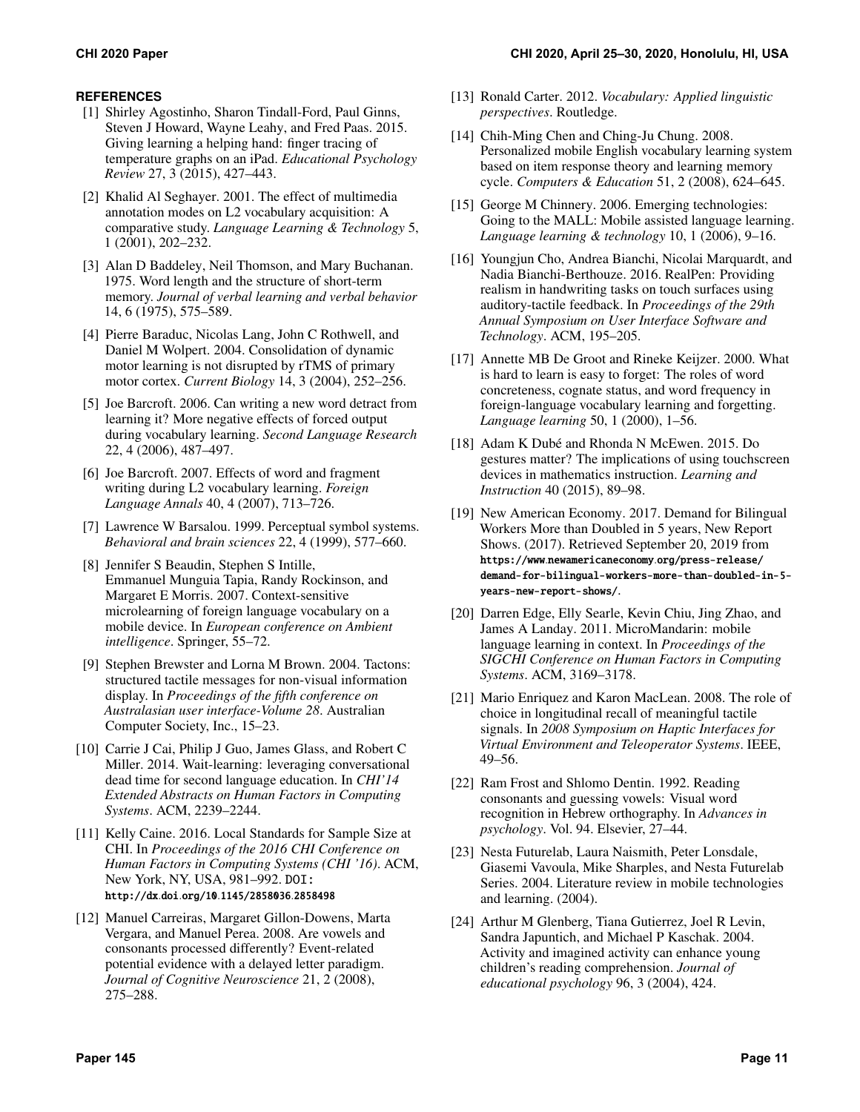# <span id="page-10-9"></span>**REFERENCES**

- [1] Shirley Agostinho, Sharon Tindall-Ford, Paul Ginns, Steven J Howard, Wayne Leahy, and Fred Paas. 2015. Giving learning a helping hand: finger tracing of temperature graphs on an iPad. *Educational Psychology Review* 27, 3 (2015), 427–443.
- <span id="page-10-13"></span>[2] Khalid Al Seghayer. 2001. The effect of multimedia annotation modes on L2 vocabulary acquisition: A comparative study. *Language Learning & Technology* 5, 1 (2001), 202–232.
- <span id="page-10-21"></span>[3] Alan D Baddeley, Neil Thomson, and Mary Buchanan. 1975. Word length and the structure of short-term memory. *Journal of verbal learning and verbal behavior*  14, 6 (1975), 575–589.
- <span id="page-10-22"></span>[4] Pierre Baraduc, Nicolas Lang, John C Rothwell, and Daniel M Wolpert. 2004. Consolidation of dynamic motor learning is not disrupted by rTMS of primary motor cortex. *Current Biology* 14, 3 (2004), 252–256.
- <span id="page-10-12"></span>[5] Joe Barcroft. 2006. Can writing a new word detract from learning it? More negative effects of forced output during vocabulary learning. *Second Language Research*  22, 4 (2006), 487–497.
- <span id="page-10-11"></span>[6] Joe Barcroft. 2007. Effects of word and fragment writing during L2 vocabulary learning. *Foreign Language Annals* 40, 4 (2007), 713–726.
- <span id="page-10-3"></span>[7] Lawrence W Barsalou. 1999. Perceptual symbol systems. *Behavioral and brain sciences* 22, 4 (1999), 577–660.
- <span id="page-10-4"></span>[8] Jennifer S Beaudin, Stephen S Intille, Emmanuel Munguia Tapia, Randy Rockinson, and Margaret E Morris. 2007. Context-sensitive microlearning of foreign language vocabulary on a mobile device. In *European conference on Ambient intelligence*. Springer, 55–72.
- <span id="page-10-16"></span>[9] Stephen Brewster and Lorna M Brown. 2004. Tactons: structured tactile messages for non-visual information display. In *Proceedings of the fifth conference on Australasian user interface-Volume 28*. Australian Computer Society, Inc., 15–23.
- <span id="page-10-6"></span>[10] Carrie J Cai, Philip J Guo, James Glass, and Robert C Miller. 2014. Wait-learning: leveraging conversational dead time for second language education. In *CHI'14 Extended Abstracts on Human Factors in Computing Systems*. ACM, 2239–2244.
- <span id="page-10-23"></span>[11] Kelly Caine. 2016. Local Standards for Sample Size at CHI. In *Proceedings of the 2016 CHI Conference on Human Factors in Computing Systems (CHI '16)*. ACM, New York, NY, USA, 981–992. DOI: http://dx.doi.org/10.[1145/2858036](http://dx.doi.org/10.1145/2858036.2858498).2858498
- <span id="page-10-14"></span>[12] Manuel Carreiras, Margaret Gillon-Dowens, Marta Vergara, and Manuel Perea. 2008. Are vowels and consonants processed differently? Event-related potential evidence with a delayed letter paradigm. *Journal of Cognitive Neuroscience* 21, 2 (2008), 275–288.
- <span id="page-10-20"></span>[13] Ronald Carter. 2012. *Vocabulary: Applied linguistic perspectives*. Routledge.
- <span id="page-10-7"></span>[14] Chih-Ming Chen and Ching-Ju Chung. 2008. Personalized mobile English vocabulary learning system based on item response theory and learning memory cycle. *Computers & Education* 51, 2 (2008), 624–645.
- <span id="page-10-2"></span>[15] George M Chinnery. 2006. Emerging technologies: Going to the MALL: Mobile assisted language learning. *Language learning & technology* 10, 1 (2006), 9–16.
- <span id="page-10-17"></span>[16] Youngjun Cho, Andrea Bianchi, Nicolai Marquardt, and Nadia Bianchi-Berthouze. 2016. RealPen: Providing realism in handwriting tasks on touch surfaces using auditory-tactile feedback. In *Proceedings of the 29th Annual Symposium on User Interface Software and Technology*. ACM, 195–205.
- <span id="page-10-19"></span>[17] Annette MB De Groot and Rineke Keijzer. 2000. What is hard to learn is easy to forget: The roles of word concreteness, cognate status, and word frequency in foreign-language vocabulary learning and forgetting. *Language learning* 50, 1 (2000), 1–56.
- <span id="page-10-10"></span>[18] Adam K Dubé and Rhonda N McEwen. 2015. Do gestures matter? The implications of using touchscreen devices in mathematics instruction. *Learning and Instruction* 40 (2015), 89–98.
- <span id="page-10-0"></span>[19] New American Economy. 2017. Demand for Bilingual Workers More than Doubled in 5 years, New Report Shows. (2017). Retrieved September 20, 2019 from https://www.newamericaneconomy.[org/press-release/](https://www.newamericaneconomy.org/press-release/demand-for-bilingual-workers-more-than-doubled-in-5-years-new-report-shows/) [demand-for-bilingual-workers-more-than-doubled-in-5](https://www.newamericaneconomy.org/press-release/demand-for-bilingual-workers-more-than-doubled-in-5-years-new-report-shows/) [years-new-report-shows/](https://www.newamericaneconomy.org/press-release/demand-for-bilingual-workers-more-than-doubled-in-5-years-new-report-shows/).
- <span id="page-10-5"></span>[20] Darren Edge, Elly Searle, Kevin Chiu, Jing Zhao, and James A Landay. 2011. MicroMandarin: mobile language learning in context. In *Proceedings of the SIGCHI Conference on Human Factors in Computing Systems*. ACM, 3169–3178.
- <span id="page-10-18"></span>[21] Mario Enriquez and Karon MacLean. 2008. The role of choice in longitudinal recall of meaningful tactile signals. In *2008 Symposium on Haptic Interfaces for Virtual Environment and Teleoperator Systems*. IEEE, 49–56.
- <span id="page-10-15"></span>[22] Ram Frost and Shlomo Dentin. 1992. Reading consonants and guessing vowels: Visual word recognition in Hebrew orthography. In *Advances in psychology*. Vol. 94. Elsevier, 27–44.
- <span id="page-10-1"></span>[23] Nesta Futurelab, Laura Naismith, Peter Lonsdale, Giasemi Vavoula, Mike Sharples, and Nesta Futurelab Series. 2004. Literature review in mobile technologies and learning. (2004).
- <span id="page-10-8"></span>[24] Arthur M Glenberg, Tiana Gutierrez, Joel R Levin, Sandra Japuntich, and Michael P Kaschak. 2004. Activity and imagined activity can enhance young children's reading comprehension. *Journal of educational psychology* 96, 3 (2004), 424.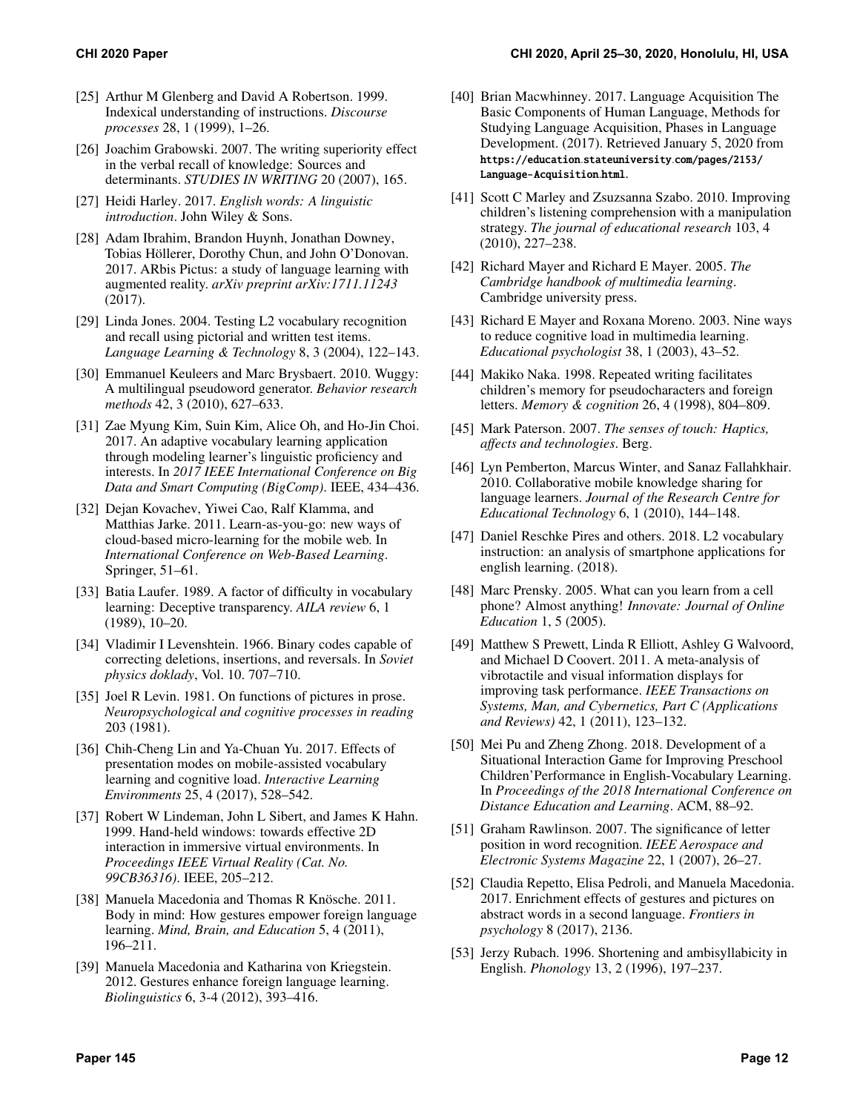- <span id="page-11-3"></span>[25] Arthur M Glenberg and David A Robertson. 1999. Indexical understanding of instructions. *Discourse processes* 28, 1 (1999), 1–26.
- <span id="page-11-15"></span>[26] Joachim Grabowski. 2007. The writing superiority effect in the verbal recall of knowledge: Sources and determinants. *STUDIES IN WRITING* 20 (2007), 165.
- <span id="page-11-23"></span>[27] Heidi Harley. 2017. *English words: A linguistic introduction*. John Wiley & Sons.
- <span id="page-11-25"></span>[28] Adam Ibrahim, Brandon Huynh, Jonathan Downey, Tobias Höllerer, Dorothy Chun, and John O'Donovan. 2017. ARbis Pictus: a study of language learning with augmented reality. *arXiv preprint arXiv:1711.11243*  (2017).
- <span id="page-11-26"></span>[29] Linda Jones. 2004. Testing L2 vocabulary recognition and recall using pictorial and written test items. *Language Learning & Technology* 8, 3 (2004), 122–143.
- <span id="page-11-22"></span>[30] Emmanuel Keuleers and Marc Brysbaert. 2010. Wuggy: A multilingual pseudoword generator. *Behavior research methods* 42, 3 (2010), 627–633.
- <span id="page-11-5"></span>[31] Zae Myung Kim, Suin Kim, Alice Oh, and Ho-Jin Choi. 2017. An adaptive vocabulary learning application through modeling learner's linguistic proficiency and interests. In *2017 IEEE International Conference on Big Data and Smart Computing (BigComp)*. IEEE, 434–436.
- <span id="page-11-4"></span>[32] Dejan Kovachev, Yiwei Cao, Ralf Klamma, and Matthias Jarke. 2011. Learn-as-you-go: new ways of cloud-based micro-learning for the mobile web. In *International Conference on Web-Based Learning*. Springer, 51–61.
- <span id="page-11-17"></span>[33] Batia Laufer. 1989. A factor of difficulty in vocabulary learning: Deceptive transparency. *AILA review* 6, 1 (1989), 10–20.
- <span id="page-11-24"></span>[34] Vladimir I Levenshtein. 1966. Binary codes capable of correcting deletions, insertions, and reversals. In *Soviet physics doklady*, Vol. 10. 707–710.
- <span id="page-11-16"></span>[35] Joel R Levin. 1981. On functions of pictures in prose. *Neuropsychological and cognitive processes in reading*  203 (1981).
- <span id="page-11-7"></span>[36] Chih-Cheng Lin and Ya-Chuan Yu. 2017. Effects of presentation modes on mobile-assisted vocabulary learning and cognitive load. *Interactive Learning Environments* 25, 4 (2017), 528–542.
- <span id="page-11-1"></span>[37] Robert W Lindeman, John L Sibert, and James K Hahn. 1999. Hand-held windows: towards effective 2D interaction in immersive virtual environments. In *Proceedings IEEE Virtual Reality (Cat. No. 99CB36316)*. IEEE, 205–212.
- <span id="page-11-10"></span>[38] Manuela Macedonia and Thomas R Knösche. 2011. Body in mind: How gestures empower foreign language learning. *Mind, Brain, and Education* 5, 4 (2011), 196–211.
- <span id="page-11-11"></span>[39] Manuela Macedonia and Katharina von Kriegstein. 2012. Gestures enhance foreign language learning. *Biolinguistics* 6, 3-4 (2012), 393–416.
- <span id="page-11-28"></span>[40] Brian Macwhinney. 2017. Language Acquisition The Basic Components of Human Language, Methods for Studying Language Acquisition, Phases in Language Development. (2017). Retrieved January 5, 2020 from [https://education](https://education.stateuniversity.com/pages/2153/Language-Acquisition.html).stateuniversity.com/pages/2153/ [Language-Acquisition](https://education.stateuniversity.com/pages/2153/Language-Acquisition.html).html.
- <span id="page-11-13"></span>[41] Scott C Marley and Zsuzsanna Szabo. 2010. Improving children's listening comprehension with a manipulation strategy. *The journal of educational research* 103, 4 (2010), 227–238.
- <span id="page-11-20"></span>[42] Richard Mayer and Richard E Mayer. 2005. *The Cambridge handbook of multimedia learning*. Cambridge university press.
- <span id="page-11-21"></span>[43] Richard E Mayer and Roxana Moreno. 2003. Nine ways to reduce cognitive load in multimedia learning. *Educational psychologist* 38, 1 (2003), 43–52.
- <span id="page-11-14"></span>[44] Makiko Naka. 1998. Repeated writing facilitates children's memory for pseudocharacters and foreign letters. *Memory & cognition* 26, 4 (1998), 804–809.
- <span id="page-11-2"></span>[45] Mark Paterson. 2007. *The senses of touch: Haptics, affects and technologies*. Berg.
- <span id="page-11-6"></span>[46] Lyn Pemberton, Marcus Winter, and Sanaz Fallahkhair. 2010. Collaborative mobile knowledge sharing for language learners. *Journal of the Research Centre for Educational Technology* 6, 1 (2010), 144–148.
- <span id="page-11-8"></span>[47] Daniel Reschke Pires and others. 2018. L2 vocabulary instruction: an analysis of smartphone applications for english learning. (2018).
- <span id="page-11-0"></span>[48] Marc Prensky. 2005. What can you learn from a cell phone? Almost anything! *Innovate: Journal of Online Education* 1, 5 (2005).
- <span id="page-11-27"></span>[49] Matthew S Prewett, Linda R Elliott, Ashley G Walvoord, and Michael D Coovert. 2011. A meta-analysis of vibrotactile and visual information displays for improving task performance. *IEEE Transactions on Systems, Man, and Cybernetics, Part C (Applications and Reviews)* 42, 1 (2011), 123–132.
- <span id="page-11-9"></span>[50] Mei Pu and Zheng Zhong. 2018. Development of a Situational Interaction Game for Improving Preschool Children'Performance in English-Vocabulary Learning. In *Proceedings of the 2018 International Conference on Distance Education and Learning*. ACM, 88–92.
- <span id="page-11-19"></span>[51] Graham Rawlinson. 2007. The significance of letter position in word recognition. *IEEE Aerospace and Electronic Systems Magazine* 22, 1 (2007), 26–27.
- <span id="page-11-12"></span>[52] Claudia Repetto, Elisa Pedroli, and Manuela Macedonia. 2017. Enrichment effects of gestures and pictures on abstract words in a second language. *Frontiers in psychology* 8 (2017), 2136.
- <span id="page-11-18"></span>[53] Jerzy Rubach. 1996. Shortening and ambisyllabicity in English. *Phonology* 13, 2 (1996), 197–237.